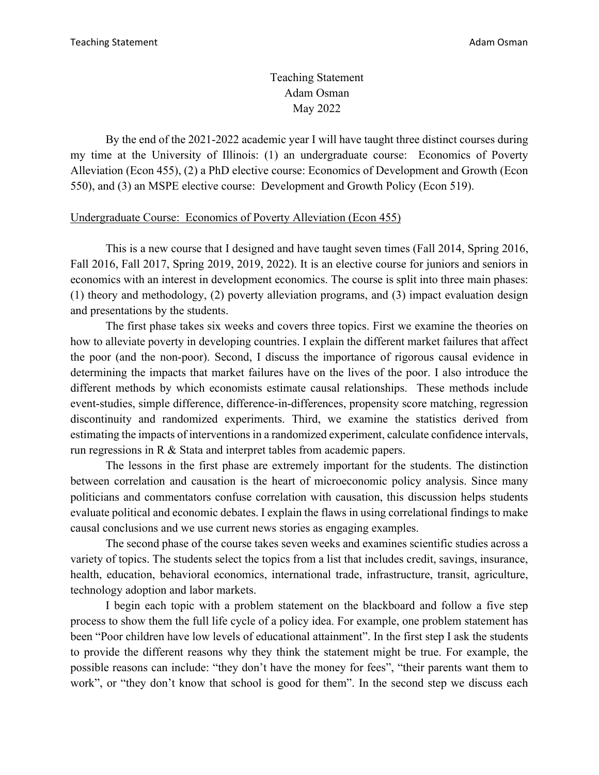Teaching Statement Adam Osman May 2022

By the end of the 2021-2022 academic year I will have taught three distinct courses during my time at the University of Illinois: (1) an undergraduate course: Economics of Poverty Alleviation (Econ 455), (2) a PhD elective course: Economics of Development and Growth (Econ 550), and (3) an MSPE elective course: Development and Growth Policy (Econ 519).

## Undergraduate Course: Economics of Poverty Alleviation (Econ 455)

This is a new course that I designed and have taught seven times (Fall 2014, Spring 2016, Fall 2016, Fall 2017, Spring 2019, 2019, 2022). It is an elective course for juniors and seniors in economics with an interest in development economics. The course is split into three main phases: (1) theory and methodology, (2) poverty alleviation programs, and (3) impact evaluation design and presentations by the students.

The first phase takes six weeks and covers three topics. First we examine the theories on how to alleviate poverty in developing countries. I explain the different market failures that affect the poor (and the non-poor). Second, I discuss the importance of rigorous causal evidence in determining the impacts that market failures have on the lives of the poor. I also introduce the different methods by which economists estimate causal relationships. These methods include event-studies, simple difference, difference-in-differences, propensity score matching, regression discontinuity and randomized experiments. Third, we examine the statistics derived from estimating the impacts of interventions in a randomized experiment, calculate confidence intervals, run regressions in R & Stata and interpret tables from academic papers.

The lessons in the first phase are extremely important for the students. The distinction between correlation and causation is the heart of microeconomic policy analysis. Since many politicians and commentators confuse correlation with causation, this discussion helps students evaluate political and economic debates. I explain the flaws in using correlational findings to make causal conclusions and we use current news stories as engaging examples.

The second phase of the course takes seven weeks and examines scientific studies across a variety of topics. The students select the topics from a list that includes credit, savings, insurance, health, education, behavioral economics, international trade, infrastructure, transit, agriculture, technology adoption and labor markets.

I begin each topic with a problem statement on the blackboard and follow a five step process to show them the full life cycle of a policy idea. For example, one problem statement has been "Poor children have low levels of educational attainment". In the first step I ask the students to provide the different reasons why they think the statement might be true. For example, the possible reasons can include: "they don't have the money for fees", "their parents want them to work", or "they don't know that school is good for them". In the second step we discuss each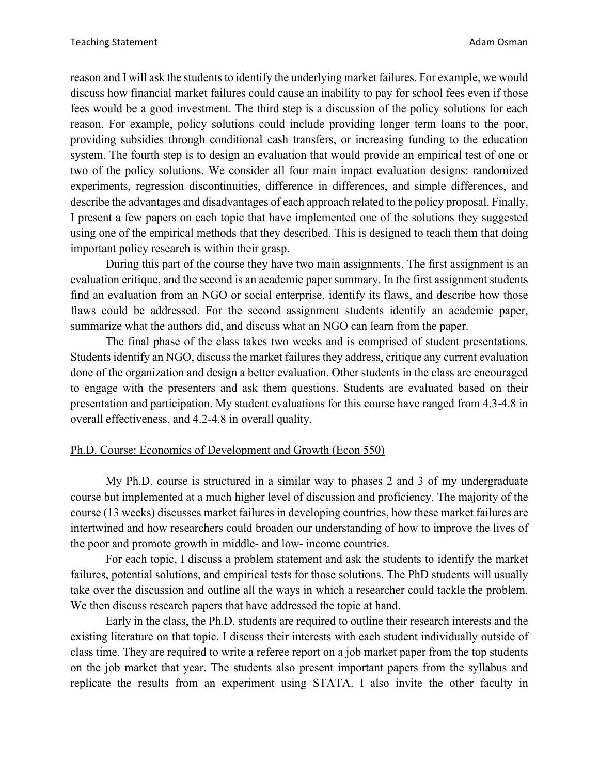reason and I will ask the students to identify the underlying market failures. For example, we would discuss how financial market failures could cause an inability to pay for school fees even if those fees would be a good investment. The third step is a discussion of the policy solutions for each reason. For example, policy solutions could include providing longer term loans to the poor, providing subsidies through conditional cash transfers, or increasing funding to the education system. The fourth step is to design an evaluation that would provide an empirical test of one or two of the policy solutions. We consider all four main impact evaluation designs: randomized experiments, regression discontinuities, difference in differences, and simple differences, and describe the advantages and disadvantages of each approach related to the policy proposal. Finally, I present a few papers on each topic that have implemented one of the solutions they suggested using one of the empirical methods that they described. This is designed to teach them that doing important policy research is within their grasp.

During this part of the course they have two main assignments. The first assignment is an evaluation critique, and the second is an academic paper summary. In the first assignment students find an evaluation from an NGO or social enterprise, identify its flaws, and describe how those flaws could be addressed. For the second assignment students identify an academic paper, summarize what the authors did, and discuss what an NGO can learn from the paper.

The final phase of the class takes two weeks and is comprised of student presentations. Students identify an NGO, discuss the market failures they address, critique any current evaluation done of the organization and design a better evaluation. Other students in the class are encouraged to engage with the presenters and ask them questions. Students are evaluated based on their presentation and participation. My student evaluations for this course have ranged from 4.3-4.8 in overall effectiveness, and 4.2-4.8 in overall quality.

## Ph.D. Course: Economics of Development and Growth (Econ 550)

My Ph.D. course is structured in a similar way to phases 2 and 3 of my undergraduate course but implemented at a much higher level of discussion and proficiency. The majority of the course (13 weeks) discusses market failures in developing countries, how these market failures are intertwined and how researchers could broaden our understanding of how to improve the lives of the poor and promote growth in middle- and low- income countries.

For each topic, I discuss a problem statement and ask the students to identify the market failures, potential solutions, and empirical tests for those solutions. The PhD students will usually take over the discussion and outline all the ways in which a researcher could tackle the problem. We then discuss research papers that have addressed the topic at hand.

Early in the class, the Ph.D. students are required to outline their research interests and the existing literature on that topic. I discuss their interests with each student individually outside of class time. They are required to write a referee report on a job market paper from the top students on the job market that year. The students also present important papers from the syllabus and replicate the results from an experiment using STATA. I also invite the other faculty in